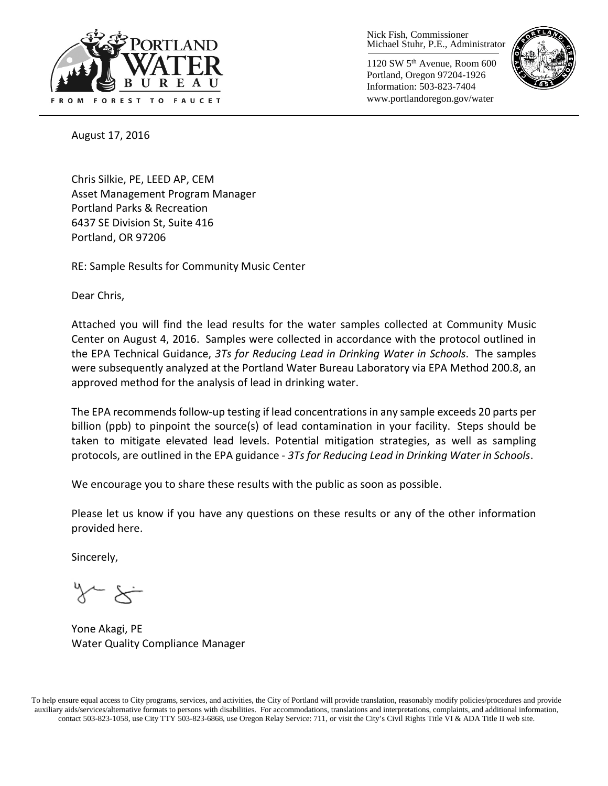

Nick Fish, Commissioner Michael Stuhr, P.E., Administrator

1120 SW 5th Avenue, Room 600 Portland, Oregon 97204-1926 Information: 503-823-7404 www.portlandoregon.gov/water



August 17, 2016

Chris Silkie, PE, LEED AP, CEM Asset Management Program Manager Portland Parks & Recreation 6437 SE Division St, Suite 416 Portland, OR 97206

RE: Sample Results for Community Music Center

Dear Chris,

Attached you will find the lead results for the water samples collected at Community Music Center on August 4, 2016. Samples were collected in accordance with the protocol outlined in the EPA Technical Guidance, *3Ts for Reducing Lead in Drinking Water in Schools*. The samples were subsequently analyzed at the Portland Water Bureau Laboratory via EPA Method 200.8, an approved method for the analysis of lead in drinking water.

The EPA recommends follow-up testing if lead concentrations in any sample exceeds 20 parts per billion (ppb) to pinpoint the source(s) of lead contamination in your facility. Steps should be taken to mitigate elevated lead levels. Potential mitigation strategies, as well as sampling protocols, are outlined in the EPA guidance - *3Ts for Reducing Lead in Drinking Water in Schools*.

We encourage you to share these results with the public as soon as possible.

Please let us know if you have any questions on these results or any of the other information provided here.

Sincerely,

Yone Akagi, PE Water Quality Compliance Manager

To help ensure equal access to City programs, services, and activities, the City of Portland will provide translation, reasonably modify policies/procedures and provide auxiliary aids/services/alternative formats to persons with disabilities. For accommodations, translations and interpretations, complaints, and additional information, contact 503-823-1058, use City TTY 503-823-6868, use Oregon Relay Service: 711, or visi[t the City's Civil Rights Title VI & ADA Title II web site.](http://www.portlandoregon.gov/oehr/66458)